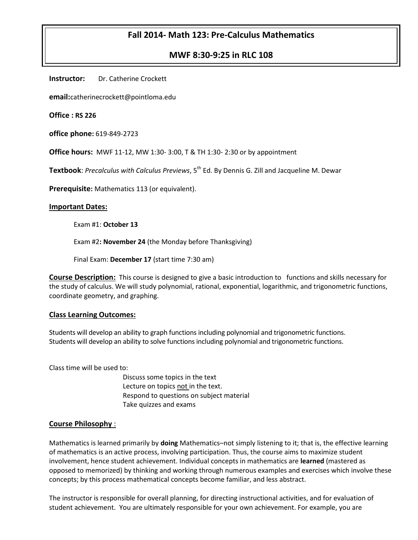# **Fall 2014- Math 123: Pre-Calculus Mathematics**

## **MWF 8:30-9:25 in RLC 108**

**Instructor:** Dr. Catherine Crockett

**email:**catherinecrockett@pointloma.edu

**Office : RS 226**

**office phone:** 619-849-2723

**Office hours:** MWF 11-12, MW 1:30- 3:00, T & TH 1:30- 2:30 or by appointment

**Textbook:** *Precalculus with Calculus Previews*, 5<sup>th</sup> Ed. By Dennis G. Zill and Jacqueline M. Dewar

**Prerequisite:** Mathematics 113 (or equivalent).

#### **Important Dates:**

Exam #1: **October 13**

Exam #2**: November 24** (the Monday before Thanksgiving)

Final Exam: **December 17** (start time 7:30 am)

**Course Description:** This course is designed to give a basic introduction to functions and skills necessary for the study of calculus. We will study polynomial, rational, exponential, logarithmic, and trigonometric functions, coordinate geometry, and graphing.

#### **Class Learning Outcomes:**

Students will develop an ability to graph functions including polynomial and trigonometric functions. Students will develop an ability to solve functions including polynomial and trigonometric functions.

Class time will be used to:

Discuss some topics in the text Lecture on topics not in the text. Respond to questions on subject material Take quizzes and exams

#### **Course Philosophy** :

Mathematics is learned primarily by **doing** Mathematics–not simply listening to it; that is, the effective learning of mathematics is an active process, involving participation. Thus, the course aims to maximize student involvement, hence student achievement. Individual concepts in mathematics are **learned** (mastered as opposed to memorized) by thinking and working through numerous examples and exercises which involve these concepts; by this process mathematical concepts become familiar, and less abstract.

The instructor is responsible for overall planning, for directing instructional activities, and for evaluation of student achievement. You are ultimately responsible for your own achievement. For example, you are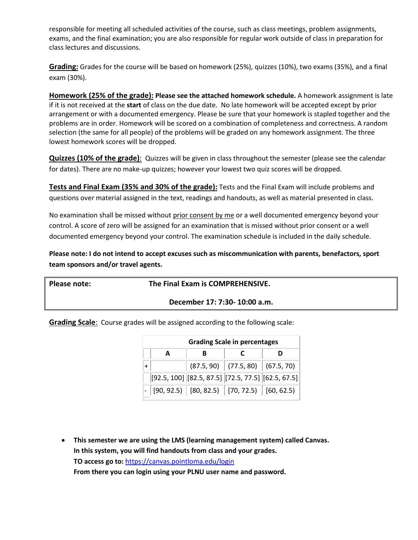responsible for meeting all scheduled activities of the course, such as class meetings, problem assignments, exams, and the final examination; you are also responsible for regular work outside of class in preparation for class lectures and discussions.

**Grading:** Grades for the course will be based on homework (25%), quizzes (10%), two exams (35%), and a final exam (30%).

**Homework (25% of the grade): Please see the attached homework schedule.** A homework assignment is late if it is not received at the **start** of class on the due date. No late homework will be accepted except by prior arrangement or with a documented emergency. Please be sure that your homework is stapled together and the problems are in order. Homework will be scored on a combination of completeness and correctness. A random selection (the same for all people) of the problems will be graded on any homework assignment. The three lowest homework scores will be dropped.

**Quizzes (10% of the grade)**: Quizzes will be given in class throughout the semester (please see the calendar for dates). There are no make-up quizzes; however your lowest two quiz scores will be dropped.

**Tests and Final Exam (35% and 30% of the grade):** Tests and the Final Exam will include problems and questions over material assigned in the text, readings and handouts, as well as material presented in class.

No examination shall be missed without prior consent by me or a well documented emergency beyond your control. A score of zero will be assigned for an examination that is missed without prior consent or a well documented emergency beyond your control. The examination schedule is included in the daily schedule.

**Please note: I do not intend to accept excuses such as miscommunication with parents, benefactors, sport team sponsors and/or travel agents.**

**Please note: The Final Exam is COMPREHENSIVE.**

**December 17: 7:30- 10:00 a.m.**

**Grading Scale**: Course grades will be assigned according to the following scale:

| <b>Grading Scale in percentages</b> |  |                                                      |  |  |  |  |
|-------------------------------------|--|------------------------------------------------------|--|--|--|--|
| A                                   |  |                                                      |  |  |  |  |
|                                     |  | $(87.5, 90)$ (77.5, 80) (67.5, 70)                   |  |  |  |  |
|                                     |  | $[92.5, 100]$ [82.5, 87.5] [72.5, 77.5] [62.5, 67.5] |  |  |  |  |
|                                     |  | $[90, 92.5]$ $[80, 82.5]$ $[70, 72.5]$ $[60, 62.5]$  |  |  |  |  |

 **This semester we are using the LMS (learning management system) called Canvas. In this system, you will find handouts from class and your grades. TO access go to:** <https://canvas.pointloma.edu/login> **From there you can login using your PLNU user name and password.**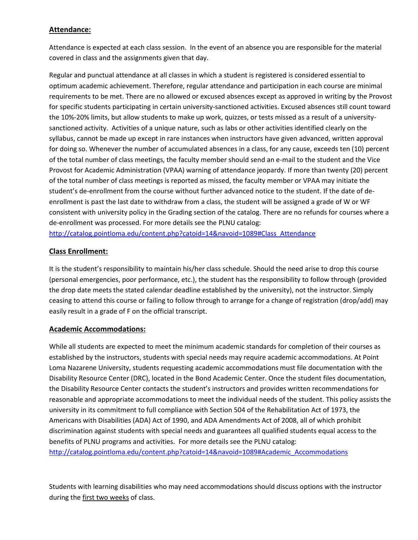### **Attendance:**

Attendance is expected at each class session. In the event of an absence you are responsible for the material covered in class and the assignments given that day.

Regular and punctual attendance at all classes in which a student is registered is considered essential to optimum academic achievement. Therefore, regular attendance and participation in each course are minimal requirements to be met. There are no allowed or excused absences except as approved in writing by the Provost for specific students participating in certain university-sanctioned activities. Excused absences still count toward the 10%-20% limits, but allow students to make up work, quizzes, or tests missed as a result of a universitysanctioned activity. Activities of a unique nature, such as labs or other activities identified clearly on the syllabus, cannot be made up except in rare instances when instructors have given advanced, written approval for doing so. Whenever the number of accumulated absences in a class, for any cause, exceeds ten (10) percent of the total number of class meetings, the faculty member should send an e-mail to the student and the Vice Provost for Academic Administration (VPAA) warning of attendance jeopardy. If more than twenty (20) percent of the total number of class meetings is reported as missed, the faculty member or VPAA may initiate the student's de-enrollment from the course without further advanced notice to the student. If the date of deenrollment is past the last date to withdraw from a class, the student will be assigned a grade of W or WF consistent with university policy in the Grading section of the catalog. There are no refunds for courses where a de-enrollment was processed. For more details see the PLNU catalog:

[http://catalog.pointloma.edu/content.php?catoid=14&navoid=1089#Class\\_Attendance](http://catalog.pointloma.edu/content.php?catoid=14&navoid=1089#Class_Attendance)

### **Class Enrollment:**

It is the student's responsibility to maintain his/her class schedule. Should the need arise to drop this course (personal emergencies, poor performance, etc.), the student has the responsibility to follow through (provided the drop date meets the stated calendar deadline established by the university), not the instructor. Simply ceasing to attend this course or failing to follow through to arrange for a change of registration (drop/add) may easily result in a grade of F on the official transcript.

### **Academic Accommodations:**

While all students are expected to meet the minimum academic standards for completion of their courses as established by the instructors, students with special needs may require academic accommodations. At Point Loma Nazarene University, students requesting academic accommodations must file documentation with the Disability Resource Center (DRC), located in the Bond Academic Center. Once the student files documentation, the Disability Resource Center contacts the student's instructors and provides written recommendations for reasonable and appropriate accommodations to meet the individual needs of the student. This policy assists the university in its commitment to full compliance with Section 504 of the Rehabilitation Act of 1973, the Americans with Disabilities (ADA) Act of 1990, and ADA Amendments Act of 2008, all of which prohibit discrimination against students with special needs and guarantees all qualified students equal access to the benefits of PLNU programs and activities. For more details see the PLNU catalog: [http://catalog.pointloma.edu/content.php?catoid=14&navoid=1089#Academic\\_Accommodations](http://catalog.pointloma.edu/content.php?catoid=14&navoid=1089#Academic_Accommodations)

Students with learning disabilities who may need accommodations should discuss options with the instructor during the first two weeks of class.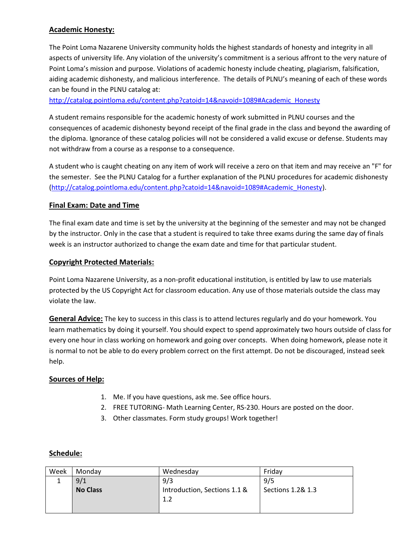## **Academic Honesty:**

The Point Loma Nazarene University community holds the highest standards of honesty and integrity in all aspects of university life. Any violation of the university's commitment is a serious affront to the very nature of Point Loma's mission and purpose. Violations of academic honesty include cheating, plagiarism, falsification, aiding academic dishonesty, and malicious interference. The details of PLNU's meaning of each of these words can be found in the PLNU catalog at:

[http://catalog.pointloma.edu/content.php?catoid=14&navoid=1089#Academic\\_Honesty](http://catalog.pointloma.edu/content.php?catoid=14&navoid=1089#Academic_Honesty)

A student remains responsible for the academic honesty of work submitted in PLNU courses and the consequences of academic dishonesty beyond receipt of the final grade in the class and beyond the awarding of the diploma. Ignorance of these catalog policies will not be considered a valid excuse or defense. Students may not withdraw from a course as a response to a consequence.

A student who is caught cheating on any item of work will receive a zero on that item and may receive an "F" for the semester. See the PLNU Catalog for a further explanation of the PLNU procedures for academic dishonesty [\(http://catalog.pointloma.edu/content.php?catoid=14&navoid=1089#Academic\\_Honesty\)](http://catalog.pointloma.edu/content.php?catoid=14&navoid=1089#Academic_Honesty).

### **Final Exam: Date and Time**

The final exam date and time is set by the university at the beginning of the semester and may not be changed by the instructor. Only in the case that a student is required to take three exams during the same day of finals week is an instructor authorized to change the exam date and time for that particular student.

### **Copyright Protected Materials:**

Point Loma Nazarene University, as a non-profit educational institution, is entitled by law to use materials protected by the US Copyright Act for classroom education. Any use of those materials outside the class may violate the law.

**General Advice:** The key to success in this class is to attend lectures regularly and do your homework. You learn mathematics by doing it yourself. You should expect to spend approximately two hours outside of class for every one hour in class working on homework and going over concepts. When doing homework, please note it is normal to not be able to do every problem correct on the first attempt. Do not be discouraged, instead seek help.

#### **Sources of Help:**

- 1. Me. If you have questions, ask me. See office hours.
- 2. FREE TUTORING- Math Learning Center, RS-230. Hours are posted on the door.
- 3. Other classmates. Form study groups! Work together!

#### **Schedule:**

| Week | Mondav          | Wednesday                    | Fridav            |
|------|-----------------|------------------------------|-------------------|
|      | 9/1             | 9/3                          | 9/5               |
|      | <b>No Class</b> | Introduction, Sections 1.1 & | Sections 1.2& 1.3 |
|      |                 | 1.2                          |                   |
|      |                 |                              |                   |